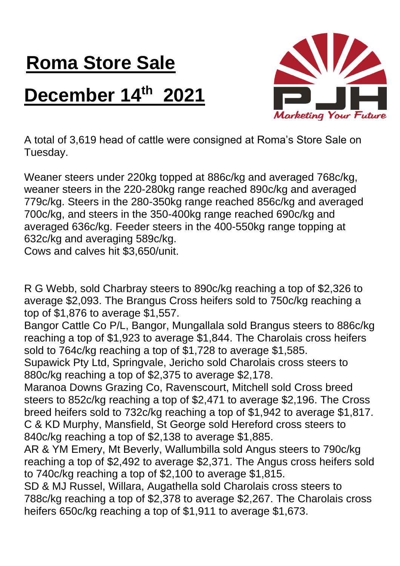## **Roma Store Sale**

## **December 14th 2021**



A total of 3,619 head of cattle were consigned at Roma's Store Sale on Tuesday.

Weaner steers under 220kg topped at 886c/kg and averaged 768c/kg, weaner steers in the 220-280kg range reached 890c/kg and averaged 779c/kg. Steers in the 280-350kg range reached 856c/kg and averaged 700c/kg, and steers in the 350-400kg range reached 690c/kg and averaged 636c/kg. Feeder steers in the 400-550kg range topping at 632c/kg and averaging 589c/kg.

Cows and calves hit \$3,650/unit.

R G Webb, sold Charbray steers to 890c/kg reaching a top of \$2,326 to average \$2,093. The Brangus Cross heifers sold to 750c/kg reaching a top of \$1,876 to average \$1,557.

Bangor Cattle Co P/L, Bangor, Mungallala sold Brangus steers to 886c/kg reaching a top of \$1,923 to average \$1,844. The Charolais cross heifers sold to 764c/kg reaching a top of \$1,728 to average \$1,585.

Supawick Pty Ltd, Springvale, Jericho sold Charolais cross steers to 880c/kg reaching a top of \$2,375 to average \$2,178.

Maranoa Downs Grazing Co, Ravenscourt, Mitchell sold Cross breed steers to 852c/kg reaching a top of \$2,471 to average \$2,196. The Cross breed heifers sold to 732c/kg reaching a top of \$1,942 to average \$1,817. C & KD Murphy, Mansfield, St George sold Hereford cross steers to 840c/kg reaching a top of \$2,138 to average \$1,885.

AR & YM Emery, Mt Beverly, Wallumbilla sold Angus steers to 790c/kg reaching a top of \$2,492 to average \$2,371. The Angus cross heifers sold to 740c/kg reaching a top of \$2,100 to average \$1,815.

SD & MJ Russel, Willara, Augathella sold Charolais cross steers to 788c/kg reaching a top of \$2,378 to average \$2,267. The Charolais cross heifers 650c/kg reaching a top of \$1,911 to average \$1,673.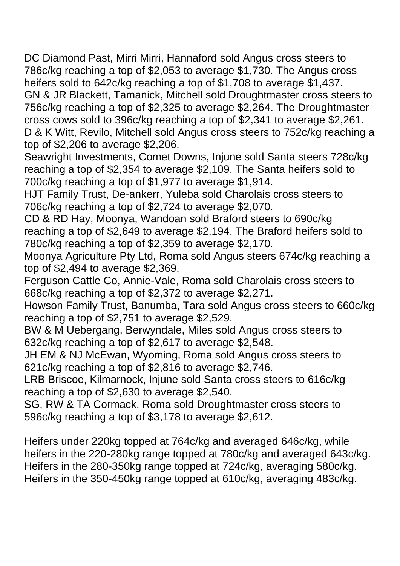DC Diamond Past, Mirri Mirri, Hannaford sold Angus cross steers to 786c/kg reaching a top of \$2,053 to average \$1,730. The Angus cross heifers sold to 642c/kg reaching a top of \$1,708 to average \$1,437. GN & JR Blackett, Tamanick, Mitchell sold Droughtmaster cross steers to 756c/kg reaching a top of \$2,325 to average \$2,264. The Droughtmaster cross cows sold to 396c/kg reaching a top of \$2,341 to average \$2,261. D & K Witt, Revilo, Mitchell sold Angus cross steers to 752c/kg reaching a top of \$2,206 to average \$2,206.

Seawright Investments, Comet Downs, Injune sold Santa steers 728c/kg reaching a top of \$2,354 to average \$2,109. The Santa heifers sold to 700c/kg reaching a top of \$1,977 to average \$1,914.

HJT Family Trust, De-ankerr, Yuleba sold Charolais cross steers to 706c/kg reaching a top of \$2,724 to average \$2,070.

CD & RD Hay, Moonya, Wandoan sold Braford steers to 690c/kg reaching a top of \$2,649 to average \$2,194. The Braford heifers sold to 780c/kg reaching a top of \$2,359 to average \$2,170.

Moonya Agriculture Pty Ltd, Roma sold Angus steers 674c/kg reaching a top of \$2,494 to average \$2,369.

Ferguson Cattle Co, Annie-Vale, Roma sold Charolais cross steers to 668c/kg reaching a top of \$2,372 to average \$2,271.

Howson Family Trust, Banumba, Tara sold Angus cross steers to 660c/kg reaching a top of \$2,751 to average \$2,529.

BW & M Uebergang, Berwyndale, Miles sold Angus cross steers to 632c/kg reaching a top of \$2,617 to average \$2,548.

JH EM & NJ McEwan, Wyoming, Roma sold Angus cross steers to 621c/kg reaching a top of \$2,816 to average \$2,746.

LRB Briscoe, Kilmarnock, Injune sold Santa cross steers to 616c/kg reaching a top of \$2,630 to average \$2,540.

SG, RW & TA Cormack, Roma sold Droughtmaster cross steers to 596c/kg reaching a top of \$3,178 to average \$2,612.

Heifers under 220kg topped at 764c/kg and averaged 646c/kg, while heifers in the 220-280kg range topped at 780c/kg and averaged 643c/kg. Heifers in the 280-350kg range topped at 724c/kg, averaging 580c/kg. Heifers in the 350-450kg range topped at 610c/kg, averaging 483c/kg.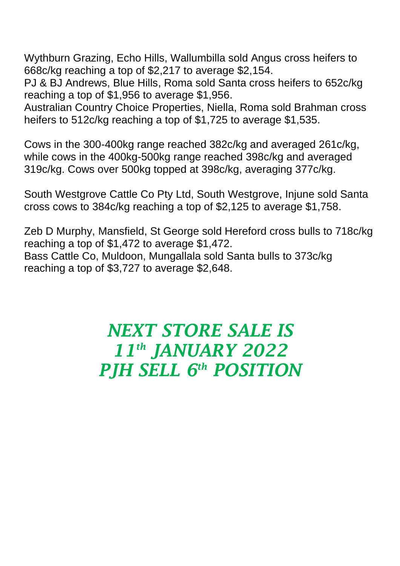Wythburn Grazing, Echo Hills, Wallumbilla sold Angus cross heifers to 668c/kg reaching a top of \$2,217 to average \$2,154.

PJ & BJ Andrews, Blue Hills, Roma sold Santa cross heifers to 652c/kg reaching a top of \$1,956 to average \$1,956.

Australian Country Choice Properties, Niella, Roma sold Brahman cross heifers to 512c/kg reaching a top of \$1,725 to average \$1,535.

Cows in the 300-400kg range reached 382c/kg and averaged 261c/kg, while cows in the 400kg-500kg range reached 398c/kg and averaged 319c/kg. Cows over 500kg topped at 398c/kg, averaging 377c/kg.

South Westgrove Cattle Co Pty Ltd, South Westgrove, Injune sold Santa cross cows to 384c/kg reaching a top of \$2,125 to average \$1,758.

Zeb D Murphy, Mansfield, St George sold Hereford cross bulls to 718c/kg reaching a top of \$1,472 to average \$1,472. Bass Cattle Co, Muldoon, Mungallala sold Santa bulls to 373c/kg reaching a top of \$3,727 to average \$2,648.

## *NEXT STORE SALE IS 11th JANUARY 2022 PJH SELL 6 th POSITION*